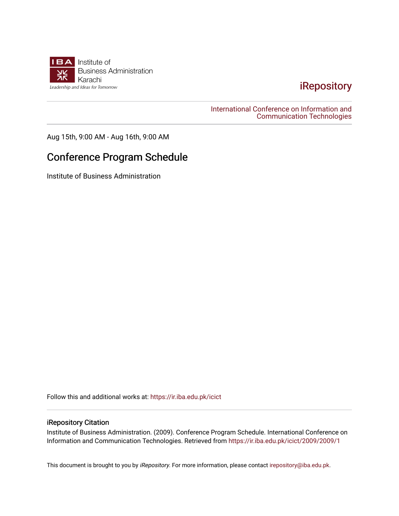

# [iRepository](https://ir.iba.edu.pk/)

### [International Conference on Information and](https://ir.iba.edu.pk/icict)  [Communication Technologies](https://ir.iba.edu.pk/icict)

Aug 15th, 9:00 AM - Aug 16th, 9:00 AM

# Conference Program Schedule

Institute of Business Administration

Follow this and additional works at: [https://ir.iba.edu.pk/icict](https://ir.iba.edu.pk/icict?utm_source=ir.iba.edu.pk%2Ficict%2F2009%2F2009%2F1&utm_medium=PDF&utm_campaign=PDFCoverPages) 

## iRepository Citation

Institute of Business Administration. (2009). Conference Program Schedule. International Conference on Information and Communication Technologies. Retrieved from [https://ir.iba.edu.pk/icict/2009/2009/1](https://ir.iba.edu.pk/icict/2009/2009/1?utm_source=ir.iba.edu.pk%2Ficict%2F2009%2F2009%2F1&utm_medium=PDF&utm_campaign=PDFCoverPages) 

This document is brought to you by *iRepository*. For more information, please contact [irepository@iba.edu.pk](mailto:irepository@iba.edu.pk).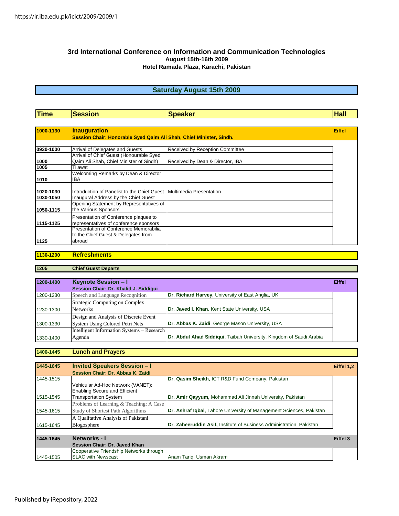#### **3rd International Conference on Information and Communication Technologies August 15th-16th 2009 Hotel Ramada Plaza, Karachi, Pakistan**

## **Saturday August 15th 2009**

| Time      | <b>Session</b>                                                                  | <b>Speaker</b>                   | <b>Hall</b>   |
|-----------|---------------------------------------------------------------------------------|----------------------------------|---------------|
|           |                                                                                 |                                  |               |
| 1000-1130 | <b>Inauguration</b>                                                             |                                  | <b>Eiffel</b> |
|           | Session Chair: Honorable Syed Qaim Ali Shah, Chief Minister, Sindh.             |                                  |               |
|           |                                                                                 |                                  |               |
| 0930-1000 | Arrival of Delegates and Guests                                                 | Received by Reception Committee  |               |
|           | Arrival of Chief Guest (Honourable Syed                                         |                                  |               |
| 1000      | Qaim Ali Shah, Chief Minister of Sindh)                                         | Received by Dean & Director, IBA |               |
| 1005      | Tilawat                                                                         |                                  |               |
|           | Welcoming Remarks by Dean & Director                                            |                                  |               |
| 1010      | <b>IBA</b>                                                                      |                                  |               |
| 1020-1030 | Introduction of Panelist to the Chief Guest   Multimedia Presentation           |                                  |               |
| 1030-1050 | Inaugural Address by the Chief Guest                                            |                                  |               |
| 1050-1115 | Opening Statement by Representatives of<br>the Various Sponsors                 |                                  |               |
| 1115-1125 | Presentation of Conference plaques to<br>representatives of conference sponsors |                                  |               |
|           | Presentation of Conference Memorabilia<br>to the Chief Guest & Delegates from   |                                  |               |
| 1125      | abroad                                                                          |                                  |               |

#### **1130-1200 Refreshments**

#### **1205 Chief Guest Departs**

| 1200-1400 | Keynote Session - I                        |                                                                     | <b>Eiffel</b> |
|-----------|--------------------------------------------|---------------------------------------------------------------------|---------------|
|           | Session Chair: Dr. Khalid J. Siddiqui      |                                                                     |               |
| 1200-1230 | Speech and Language Recognition            | Dr. Richard Harvey, University of East Anglia, UK                   |               |
|           | Strategic Computing on Complex             |                                                                     |               |
| 1230-1300 | <b>Networks</b>                            | Dr. Javed I. Khan, Kent State University, USA                       |               |
|           | Design and Analysis of Discrete Event      |                                                                     |               |
| 1300-1330 | System Using Colored Petri Nets            | Dr. Abbas K. Zaidi, George Mason University, USA                    |               |
|           | Intelligent Information Systems – Research |                                                                     |               |
| 1330-1400 | Agenda                                     | Dr. Abdul Ahad Siddiqui, Taibah University, Kingdom of Saudi Arabia |               |

#### **1400-1445 Lunch and Prayers**

| 1445-1645 | <b>Invited Speakers Session - I</b>                                       |                                                                      | Eiffel 1,2 |
|-----------|---------------------------------------------------------------------------|----------------------------------------------------------------------|------------|
|           | Session Chair: Dr. Abbas K. Zaidi                                         |                                                                      |            |
| 1445-1515 |                                                                           | Dr. Qasim Sheikh, ICT R&D Fund Company, Pakistan                     |            |
|           | Vehicular Ad-Hoc Network (VANET):<br><b>Enabling Secure and Efficient</b> |                                                                      |            |
| 1515-1545 | <b>Transportation System</b>                                              | Dr. Amir Qayyum, Mohammad Ali Jinnah University, Pakistan            |            |
|           | Problems of Learning & Teaching: A Case                                   |                                                                      |            |
| 1545-1615 | Study of Shortest Path Algorithms                                         | Dr. Ashraf Igbal, Lahore University of Management Sciences, Pakistan |            |
|           | A Qualitative Analysis of Pakistani                                       |                                                                      |            |
| 1615-1645 | Blogosphere                                                               | Dr. Zaheeruddin Asif, Institute of Business Administration, Pakistan |            |
|           |                                                                           |                                                                      |            |
| 1445-1645 | Networks - I                                                              |                                                                      | Eiffel 3   |
|           | Session Chair: Dr. Javed Khan                                             |                                                                      |            |
|           | Cooperative Friendship Networks through                                   |                                                                      |            |
| 1445-1505 | <b>SLAC with Newscast</b>                                                 | Anam Tarig, Usman Akram                                              |            |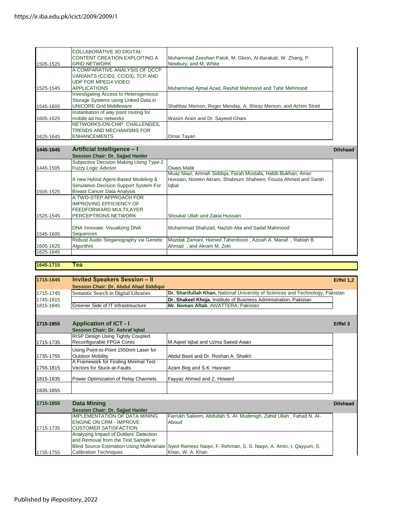|           | <b>COLLABORATIVE 3D DIGITAL</b><br>CONTENT CREATION EXPLOITING A | Muhammad Zeeshan Patoli, M. Gkion, Al-Barakati, W. Zhang, P.   |                 |
|-----------|------------------------------------------------------------------|----------------------------------------------------------------|-----------------|
| 1505-1525 | <b>GRID NETWORK</b>                                              | Newbury, and M. White                                          |                 |
|           | A COMPARATIVE ANALYSIS OF DCCP                                   |                                                                |                 |
|           | VARIANTS (CCID2, CCID3), TCP AND                                 |                                                                |                 |
|           | <b>UDP FOR MPEG4 VIDEO</b>                                       |                                                                |                 |
| 1525-1545 | <b>APPLICATIONS</b>                                              | Muhammad Ajmal Azad, Rashid Mahmood and Tahir Mehmood          |                 |
|           | <b>Investigating Access to Heterogeneous</b>                     |                                                                |                 |
|           | Storage Systems using Linked Data in                             |                                                                |                 |
| 1545-1605 | <b>UNICORE Grid Middleware</b>                                   | Shahbaz Memon, Roger Menday, A. Shiraz Memon, and Achim Streit |                 |
|           | Instantiation of way point routing for                           |                                                                |                 |
| 1605-1625 | mobile ad hoc networks                                           | Wasim Arain and Dr. Sayeed Ghani                               |                 |
|           | NETWORKS-ON-CHIP: CHALLENGES,                                    |                                                                |                 |
|           | <b>TRENDS AND MECHANISMS FOR</b>                                 |                                                                |                 |
| 1625-1645 | <b>ENHANCEMENTS</b>                                              | Omar Tayan                                                     |                 |
|           |                                                                  |                                                                |                 |
| 1445-1645 | Artificial Intelligence - I                                      |                                                                | <b>Dilshaad</b> |
|           | Session Chair: Dr. Sajjad Haider                                 |                                                                |                 |
|           | Subjective Decision Making Using Type-2                          |                                                                |                 |
| 1445-1505 | <b>Fuzzy Logic Advisor</b>                                       | <b>Owais Malik</b>                                             |                 |
|           |                                                                  | Muaz Niazi, Amnah Siddiga, Farah Mustafa, Habib Bukhari, Amer  |                 |
|           | A new Hybrid Agent-Based Modeling &                              | Hussain, Noreen Akram, Shabnum Shaheen, Fouzia Ahmed and Sarah |                 |
|           | Simulation Decision Support System For                           | Iqbal                                                          |                 |
| 1505-1525 | <b>Breast Cancer Data Analysis</b>                               |                                                                |                 |
|           | A TWO-STEP APPROACH FOR                                          |                                                                |                 |
|           | <b>IMPROVING EFFICIENCY OF</b>                                   |                                                                |                 |
|           | <b>FEEDFORWARD MULTILAYER</b>                                    |                                                                |                 |
| 1525-1545 | PERCEPTRONS NETWORK                                              | Shoukat Ullah and Zakia Hussain                                |                 |
|           |                                                                  |                                                                |                 |
|           | DNA Innovate: Visualizing DNA                                    | Muhammad Shahzad, Nazish Alia and Sadaf Mahmood                |                 |
| 1545-1605 | <b>Sequences</b>                                                 |                                                                |                 |
|           | Robust Audio Steganography via Genetic                           | Mazdak Zamani, Hamed Taherdoost, Azizah A. Manaf, Rabiah B.    |                 |
| 1605-1625 | Algorithm                                                        | Ahmad, and Akram M. Zeki                                       |                 |
| 1625-1645 |                                                                  |                                                                |                 |
|           |                                                                  |                                                                |                 |

# **1645-1715 Tea**

| 1715-1845 | <b>Invited Speakers Session - II</b>     |                                                                                                              | Eiffel 1.2      |
|-----------|------------------------------------------|--------------------------------------------------------------------------------------------------------------|-----------------|
|           | Session Chair: Dr. Abdul Ahad Siddiqui   |                                                                                                              |                 |
| 1715-1745 | Semantic Search in Digital Libraries     | Dr. Sharifullah Khan, National University of Sciences and Technology, Pakistan                               |                 |
| 1745-1815 |                                          | Dr. Shakeel Khoja, Institute of Business Administration, Pakistan                                            |                 |
| 1815-1845 | Greener Side of IT Infrastreucture       | Mr. Noman Aftab, iNVATTERA, Pakistan                                                                         |                 |
|           |                                          |                                                                                                              |                 |
| 1715-1855 | <b>Application of ICT - I</b>            |                                                                                                              | Eiffel 3        |
|           | <b>Session Chair: Dr. Ashraf Igbal</b>   |                                                                                                              |                 |
|           | <b>RISP Design Using Tightly Coupled</b> |                                                                                                              |                 |
| 1715-1735 | Reconfigurable FPGA Cores                | M.Ageel Iqbal and Uzma Saeed Awan                                                                            |                 |
|           | Using Point-to-Point 1550nm Laser for    |                                                                                                              |                 |
| 1735-1755 | <b>Outdoor Mobility</b>                  | Abdul Basit and Dr. Roshan A. Shaikh                                                                         |                 |
|           | A Framework for Finding Minimal Test     |                                                                                                              |                 |
| 1755-1815 | Vectors for Stuck-at-Faults              | Azam Beg and S.K. Hasnain                                                                                    |                 |
| 1815-1835 | Power Optimization of Relay Channels     | Fayyaz Ahmed and Z. Howard                                                                                   |                 |
| 1835-1855 |                                          |                                                                                                              |                 |
| 1715-1855 | <b>Data Mining</b>                       |                                                                                                              | <b>Dilshaad</b> |
|           | Session Chair: Dr. Sajjad Haider         |                                                                                                              |                 |
|           | <b>IMPLEMENTATION OF DATA MINING</b>     | Farrukh Saleem, Abdullah S. Al- Mudimigh, Zahid Ullah, Fahad N. Al-                                          |                 |
|           | <b>ENGINE ON CRM - IMPROVE</b>           | Aboud                                                                                                        |                 |
| 1715-1735 | <b>CUSTOMER SATISFACTION</b>             |                                                                                                              |                 |
|           | Analyzing Impact of Outliers' Detection  |                                                                                                              |                 |
|           | and Removal from the Test Sample in      |                                                                                                              |                 |
|           |                                          | Blind Source Estimation Using Multivariate Syed Rameez Naqvi, F. Rehman, S. S. Naqvi, A. Amin, I. Qayyum, S. |                 |
| 1735-1755 | <b>Calibration Techniques</b>            | Khan, W. A. Khan                                                                                             |                 |